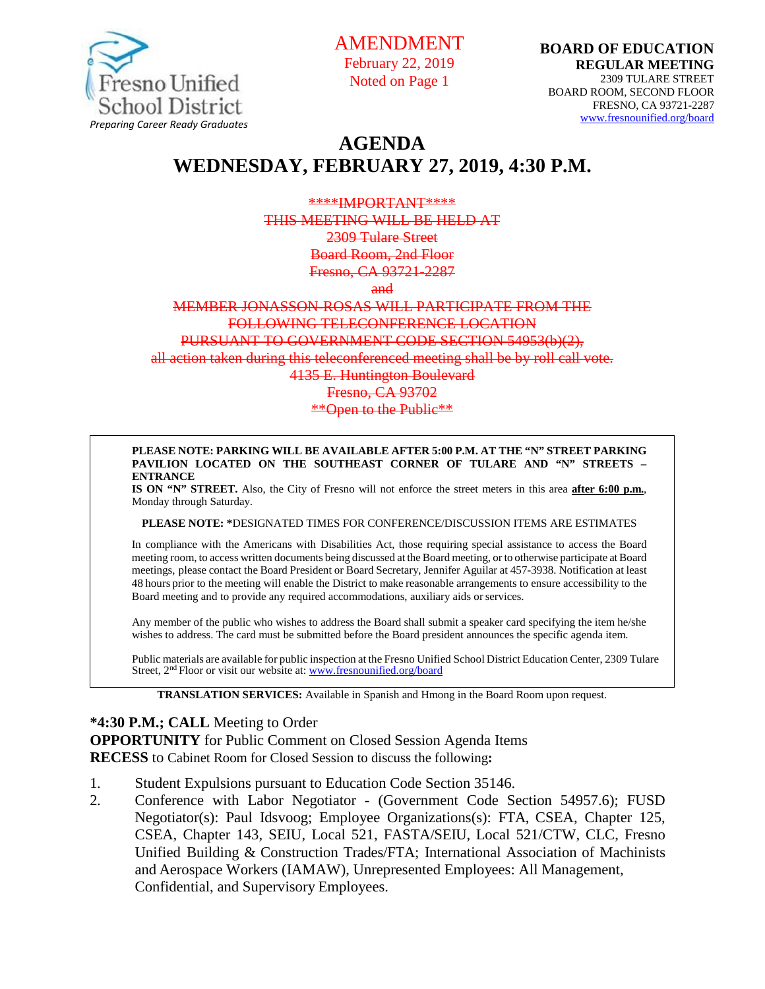

AMENDMENT February 22, 2019 Noted on Page 1

# **AGENDA WEDNESDAY, FEBRUARY 27, 2019, 4:30 P.M.**

#### \*\*\*\*IMPORTANT\*\*\*\* THIS MEETING WILL BE HELD AT 2309 Tulare Street Board Room, 2nd Floor

Fresno, CA 93721-2287

and

#### MEMBER JONASSON-ROSAS WILL PARTICIPATE FROM THE FOLLOWING TELECONFERENCE LOCATION PURSUANT TO GOVERNMENT CODE SECTION 54953(b)(2),

all action taken during this teleconferenced meeting shall be by roll call vote.

4135 E. Huntington Boulevard

Fresno, CA 93702

#### \*\*Open to the Public\*\*

#### **PLEASE NOTE: PARKING WILL BE AVAILABLE AFTER 5:00 P.M. AT THE "N" STREET PARKING PAVILION LOCATED ON THE SOUTHEAST CORNER OF TULARE AND "N" STREETS – ENTRANCE**

**IS ON "N" STREET.** Also, the City of Fresno will not enforce the street meters in this area **after 6:00 p.m.**, Monday through Saturday.

**PLEASE NOTE: \***DESIGNATED TIMES FOR CONFERENCE/DISCUSSION ITEMS ARE ESTIMATES

In compliance with the Americans with Disabilities Act, those requiring special assistance to access the Board meeting room, to access written documents being discussed at the Board meeting, or to otherwise participate atBoard meetings, please contact the Board President or Board Secretary, Jennifer Aguilar at 457-3938. Notification at least 48 hours prior to the meeting will enable the District to make reasonable arrangements to ensure accessibility to the Board meeting and to provide any required accommodations, auxiliary aids orservices.

Any member of the public who wishes to address the Board shall submit a speaker card specifying the item he/she wishes to address. The card must be submitted before the Board president announces the specific agenda item.

Public materials are available for public inspection at the Fresno Unified School District Education Center, 2309 Tulare Street, 2<sup>nd</sup> Floor or visit our website at: [www.fresnounified.org/board](http://www.fresnounified.org/board)

**TRANSLATION SERVICES:** Available in Spanish and Hmong in the Board Room upon request.

#### **\*4:30 P.M.; CALL** Meeting to Order

**OPPORTUNITY** for Public Comment on Closed Session Agenda Items **RECESS** to Cabinet Room for Closed Session to discuss the following**:**

- 1. Student Expulsions pursuant to Education Code Section 35146.
- 2. Conference with Labor Negotiator (Government Code Section 54957.6); FUSD Negotiator(s): Paul Idsvoog; Employee Organizations(s): FTA, CSEA, Chapter 125, CSEA, Chapter 143, SEIU, Local 521, FASTA/SEIU, Local 521/CTW, CLC, Fresno Unified Building & Construction Trades/FTA; International Association of Machinists and Aerospace Workers (IAMAW), Unrepresented Employees: All Management, Confidential, and Supervisory Employees.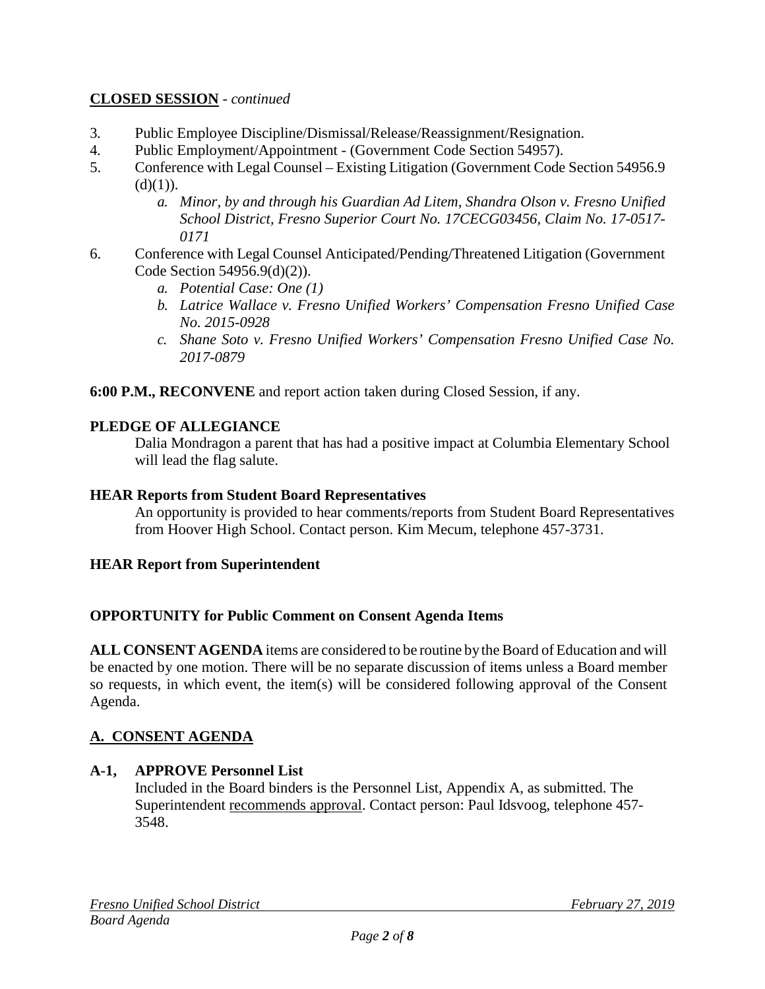## **CLOSED SESSION** - *continued*

- 3. Public Employee Discipline/Dismissal/Release/Reassignment/Resignation.
- 4. Public Employment/Appointment (Government Code Section 54957).<br>
Conference with Legal Counsel Existing Litigation (Government Code
- 5. Conference with Legal Counsel Existing Litigation (Government Code Section 54956.9  $(d)(1)).$ 
	- *a. Minor, by and through his Guardian Ad Litem, Shandra Olson v. Fresno Unified School District, Fresno Superior Court No. 17CECG03456, Claim No. 17-0517- 0171*
- 6. Conference with Legal Counsel Anticipated/Pending/Threatened Litigation (Government Code Section 54956.9(d)(2)).
	- *a. Potential Case: One (1)*
	- *b. Latrice Wallace v. Fresno Unified Workers' Compensation Fresno Unified Case No. 2015-0928*
	- *c. Shane Soto v. Fresno Unified Workers' Compensation Fresno Unified Case No. 2017-0879*

**6:00 P.M., RECONVENE** and report action taken during Closed Session, if any.

## **PLEDGE OF ALLEGIANCE**

Dalia Mondragon a parent that has had a positive impact at Columbia Elementary School will lead the flag salute.

#### **HEAR Reports from Student Board Representatives**

An opportunity is provided to hear comments/reports from Student Board Representatives from Hoover High School. Contact person. Kim Mecum, telephone 457-3731.

## **HEAR Report from Superintendent**

#### **OPPORTUNITY for Public Comment on Consent Agenda Items**

**ALL CONSENT AGENDA** items are considered to be routine bythe Board of Education and will be enacted by one motion. There will be no separate discussion of items unless a Board member so requests, in which event, the item(s) will be considered following approval of the Consent Agenda.

## **A. CONSENT AGENDA**

#### **A-1, APPROVE Personnel List**

Included in the Board binders is the Personnel List, Appendix A, as submitted. The Superintendent recommends approval. Contact person: Paul Idsvoog, telephone 457- 3548.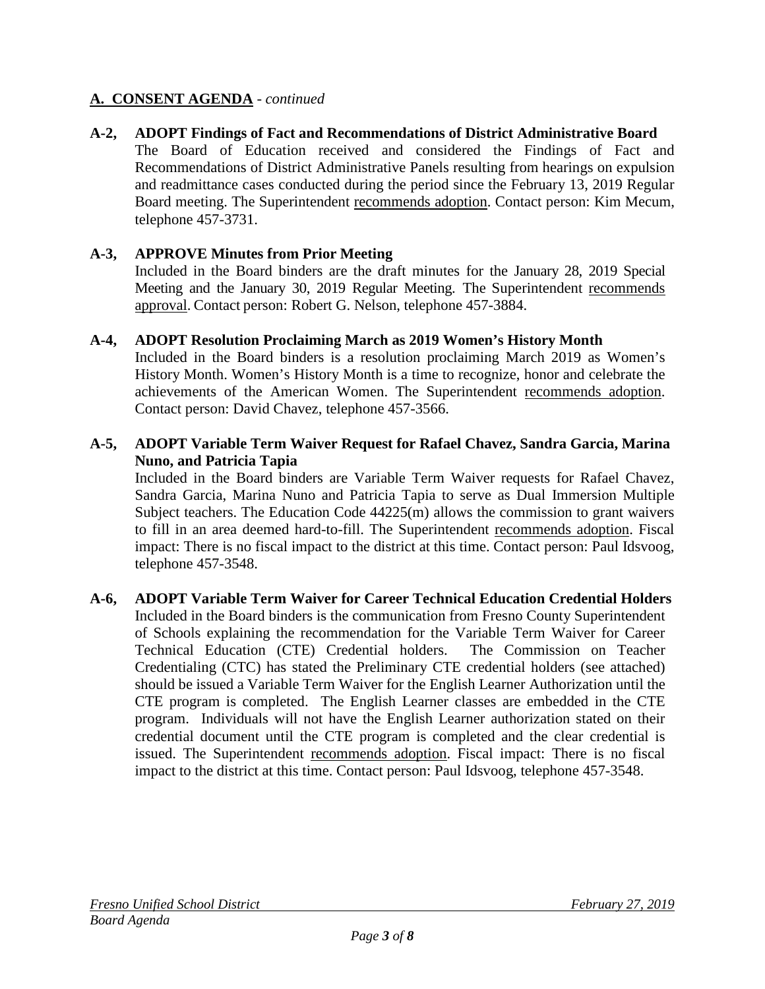#### **A-2, ADOPT Findings of Fact and Recommendations of District Administrative Board**

The Board of Education received and considered the Findings of Fact and Recommendations of District Administrative Panels resulting from hearings on expulsion and readmittance cases conducted during the period since the February 13, 2019 Regular Board meeting. The Superintendent recommends adoption. Contact person: Kim Mecum, telephone 457-3731.

#### **A-3, APPROVE Minutes from Prior Meeting**

Included in the Board binders are the draft minutes for the January 28, 2019 Special Meeting and the January 30, 2019 Regular Meeting. The Superintendent recommends approval. Contact person: Robert G. Nelson, telephone 457-3884.

#### **A-4, ADOPT Resolution Proclaiming March as 2019 Women's History Month**

Included in the Board binders is a resolution proclaiming March 2019 as Women's History Month. Women's History Month is a time to recognize, honor and celebrate the achievements of the American Women. The Superintendent recommends adoption. Contact person: David Chavez, telephone 457-3566.

#### **A-5, ADOPT Variable Term Waiver Request for Rafael Chavez, Sandra Garcia, Marina Nuno, and Patricia Tapia**

Included in the Board binders are Variable Term Waiver requests for Rafael Chavez, Sandra Garcia, Marina Nuno and Patricia Tapia to serve as Dual Immersion Multiple Subject teachers. The Education Code 44225(m) allows the commission to grant waivers to fill in an area deemed hard-to-fill. The Superintendent recommends adoption. Fiscal impact: There is no fiscal impact to the district at this time. Contact person: Paul Idsvoog, telephone 457-3548.

#### **A-6, ADOPT Variable Term Waiver for Career Technical Education Credential Holders**  Included in the Board binders is the communication from Fresno County Superintendent of Schools explaining the recommendation for the Variable Term Waiver for Career Technical Education (CTE) Credential holders. The Commission on Teacher Credentialing (CTC) has stated the Preliminary CTE credential holders (see attached) should be issued a Variable Term Waiver for the English Learner Authorization until the CTE program is completed. The English Learner classes are embedded in the CTE program. Individuals will not have the English Learner authorization stated on their credential document until the CTE program is completed and the clear credential is issued. The Superintendent recommends adoption. Fiscal impact: There is no fiscal impact to the district at this time. Contact person: Paul Idsvoog, telephone 457-3548.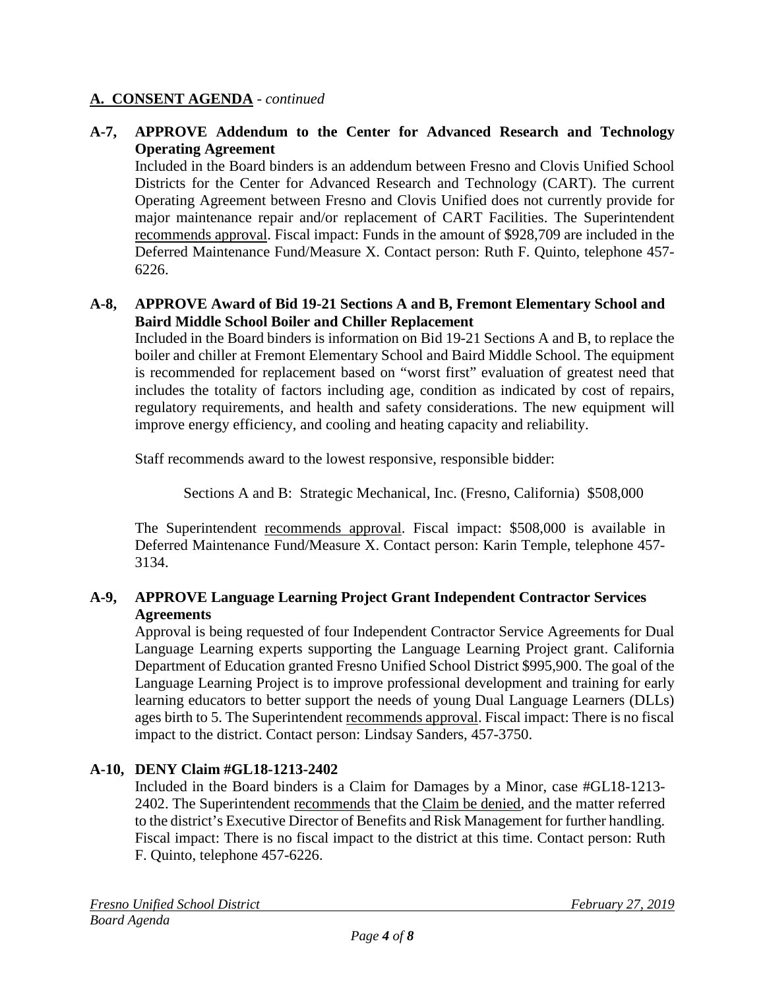#### **A-7, APPROVE Addendum to the Center for Advanced Research and Technology Operating Agreement**

Included in the Board binders is an addendum between Fresno and Clovis Unified School Districts for the Center for Advanced Research and Technology (CART). The current Operating Agreement between Fresno and Clovis Unified does not currently provide for major maintenance repair and/or replacement of CART Facilities. The Superintendent recommends approval. Fiscal impact: Funds in the amount of \$928,709 are included in the Deferred Maintenance Fund/Measure X. Contact person: Ruth F. Quinto, telephone 457- 6226.

#### **A-8, APPROVE Award of Bid 19-21 Sections A and B, Fremont Elementary School and Baird Middle School Boiler and Chiller Replacement**

Included in the Board binders is information on Bid 19-21 Sections A and B, to replace the boiler and chiller at Fremont Elementary School and Baird Middle School. The equipment is recommended for replacement based on "worst first" evaluation of greatest need that includes the totality of factors including age, condition as indicated by cost of repairs, regulatory requirements, and health and safety considerations. The new equipment will improve energy efficiency, and cooling and heating capacity and reliability.

Staff recommends award to the lowest responsive, responsible bidder:

Sections A and B: Strategic Mechanical, Inc. (Fresno, California) \$508,000

The Superintendent recommends approval. Fiscal impact: \$508,000 is available in Deferred Maintenance Fund/Measure X. Contact person: Karin Temple, telephone 457- 3134.

## **A-9, APPROVE Language Learning Project Grant Independent Contractor Services Agreements**

Approval is being requested of four Independent Contractor Service Agreements for Dual Language Learning experts supporting the Language Learning Project grant. California Department of Education granted Fresno Unified School District \$995,900. The goal of the Language Learning Project is to improve professional development and training for early learning educators to better support the needs of young Dual Language Learners (DLLs) ages birth to 5. The Superintendent recommends approval. Fiscal impact: There is no fiscal impact to the district. Contact person: Lindsay Sanders, 457-3750.

## **A-10, DENY Claim #GL18-1213-2402**

Included in the Board binders is a Claim for Damages by a Minor, case #GL18-1213- 2402. The Superintendent recommends that the Claim be denied, and the matter referred to the district's Executive Director of Benefits and Risk Management for further handling. Fiscal impact: There is no fiscal impact to the district at this time. Contact person: Ruth F. Quinto, telephone 457-6226.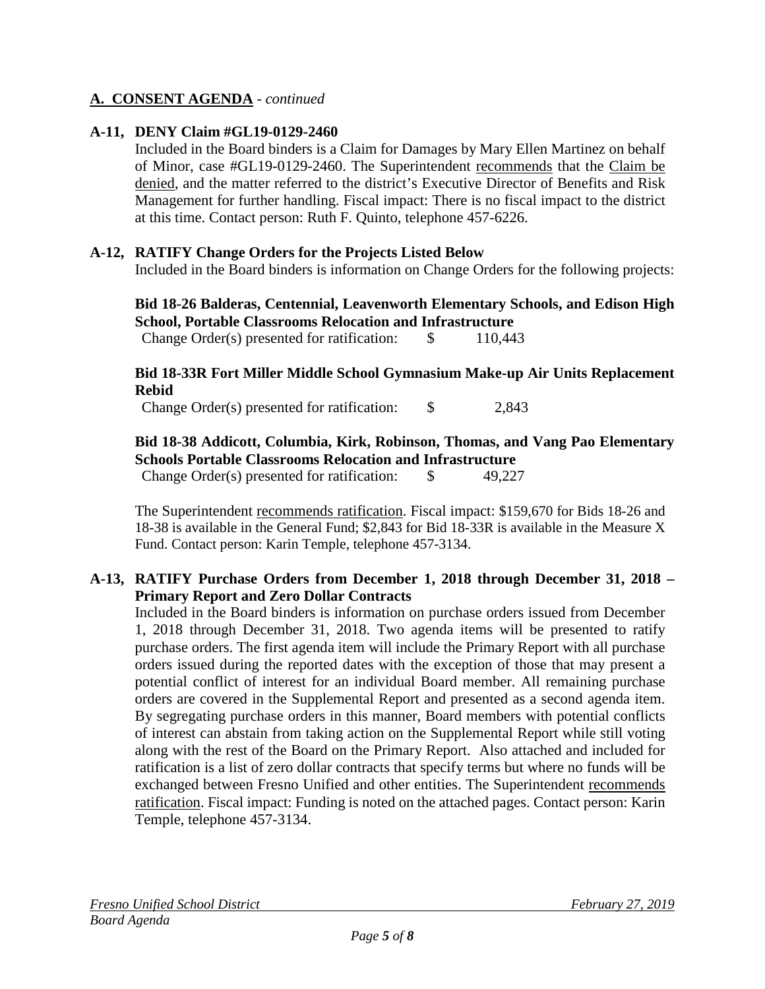#### **A-11, DENY Claim #GL19-0129-2460**

Included in the Board binders is a Claim for Damages by Mary Ellen Martinez on behalf of Minor, case #GL19-0129-2460. The Superintendent recommends that the Claim be denied, and the matter referred to the district's Executive Director of Benefits and Risk Management for further handling. Fiscal impact: There is no fiscal impact to the district at this time. Contact person: Ruth F. Quinto, telephone 457-6226.

#### **A-12, RATIFY Change Orders for the Projects Listed Below**

Included in the Board binders is information on Change Orders for the following projects:

**Bid 18-26 Balderas, Centennial, Leavenworth Elementary Schools, and Edison High School, Portable Classrooms Relocation and Infrastructure**

Change Order(s) presented for ratification: \$ 110,443

**Bid 18-33R Fort Miller Middle School Gymnasium Make-up Air Units Replacement Rebid**

Change Order(s) presented for ratification: \$ 2,843

#### **Bid 18-38 Addicott, Columbia, Kirk, Robinson, Thomas, and Vang Pao Elementary Schools Portable Classrooms Relocation and Infrastructure**

Change Order(s) presented for ratification: \$ 49,227

The Superintendent recommends ratification. Fiscal impact: \$159,670 for Bids 18-26 and 18-38 is available in the General Fund; \$2,843 for Bid 18-33R is available in the Measure X Fund. Contact person: Karin Temple, telephone 457-3134.

#### **A-13, RATIFY Purchase Orders from December 1, 2018 through December 31, 2018 – Primary Report and Zero Dollar Contracts**

Included in the Board binders is information on purchase orders issued from December 1, 2018 through December 31, 2018. Two agenda items will be presented to ratify purchase orders. The first agenda item will include the Primary Report with all purchase orders issued during the reported dates with the exception of those that may present a potential conflict of interest for an individual Board member. All remaining purchase orders are covered in the Supplemental Report and presented as a second agenda item. By segregating purchase orders in this manner, Board members with potential conflicts of interest can abstain from taking action on the Supplemental Report while still voting along with the rest of the Board on the Primary Report. Also attached and included for ratification is a list of zero dollar contracts that specify terms but where no funds will be exchanged between Fresno Unified and other entities. The Superintendent recommends ratification. Fiscal impact: Funding is noted on the attached pages. Contact person: Karin Temple, telephone 457-3134.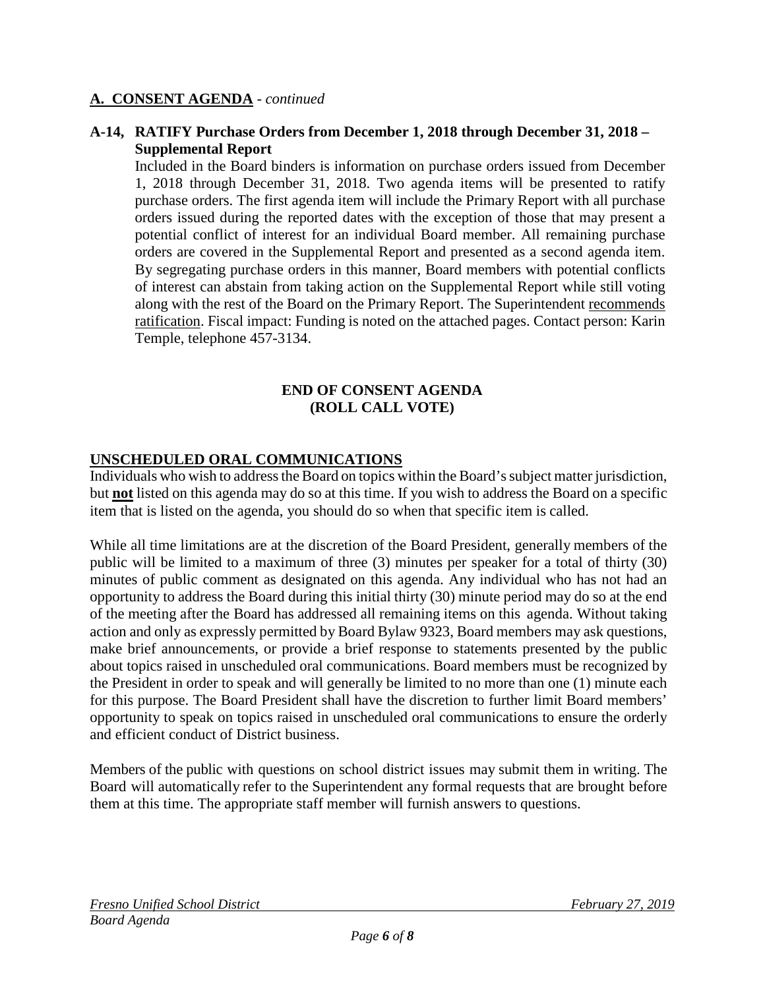#### **A-14, RATIFY Purchase Orders from December 1, 2018 through December 31, 2018 – Supplemental Report**

Included in the Board binders is information on purchase orders issued from December 1, 2018 through December 31, 2018. Two agenda items will be presented to ratify purchase orders. The first agenda item will include the Primary Report with all purchase orders issued during the reported dates with the exception of those that may present a potential conflict of interest for an individual Board member. All remaining purchase orders are covered in the Supplemental Report and presented as a second agenda item. By segregating purchase orders in this manner, Board members with potential conflicts of interest can abstain from taking action on the Supplemental Report while still voting along with the rest of the Board on the Primary Report. The Superintendent recommends ratification. Fiscal impact: Funding is noted on the attached pages. Contact person: Karin Temple, telephone 457-3134.

#### **END OF CONSENT AGENDA (ROLL CALL VOTE)**

## **UNSCHEDULED ORAL COMMUNICATIONS**

Individuals who wish to address the Board on topics within the Board's subject matter jurisdiction, but **not** listed on this agenda may do so at this time. If you wish to address the Board on a specific item that is listed on the agenda, you should do so when that specific item is called.

While all time limitations are at the discretion of the Board President, generally members of the public will be limited to a maximum of three (3) minutes per speaker for a total of thirty (30) minutes of public comment as designated on this agenda. Any individual who has not had an opportunity to address the Board during this initial thirty (30) minute period may do so at the end of the meeting after the Board has addressed all remaining items on this agenda. Without taking action and only as expressly permitted by Board Bylaw 9323, Board members may ask questions, make brief announcements, or provide a brief response to statements presented by the public about topics raised in unscheduled oral communications. Board members must be recognized by the President in order to speak and will generally be limited to no more than one (1) minute each for this purpose. The Board President shall have the discretion to further limit Board members' opportunity to speak on topics raised in unscheduled oral communications to ensure the orderly and efficient conduct of District business.

Members of the public with questions on school district issues may submit them in writing. The Board will automatically refer to the Superintendent any formal requests that are brought before them at this time. The appropriate staff member will furnish answers to questions.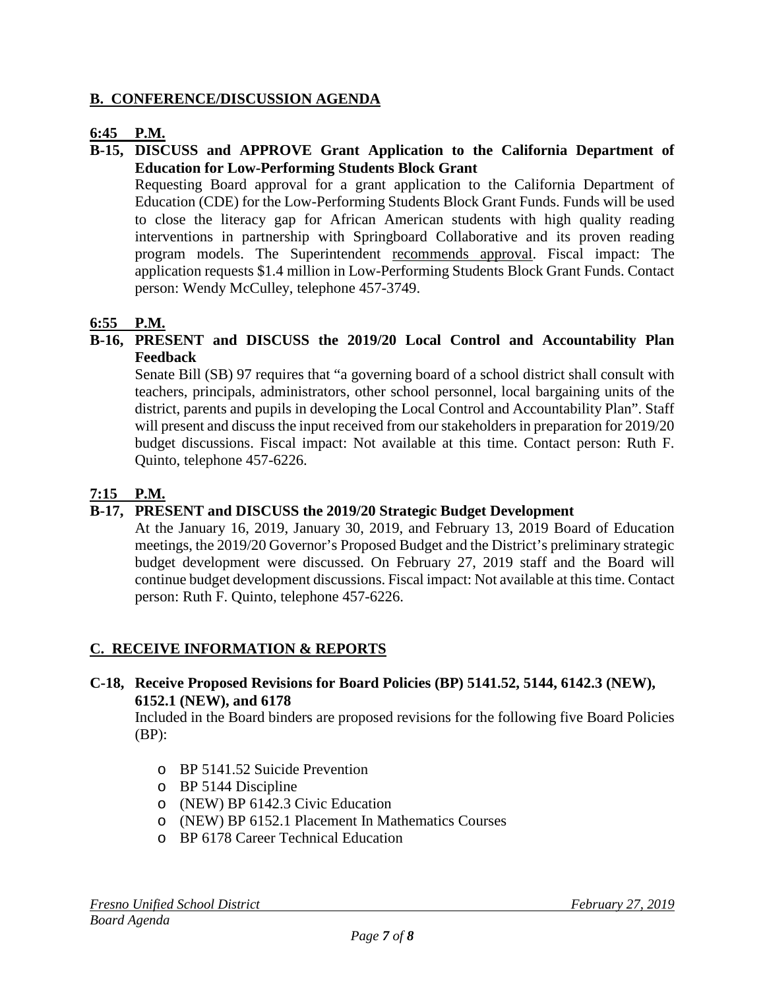#### **B. CONFERENCE/DISCUSSION AGENDA**

#### **6:45 P.M.**

#### **B-15, DISCUSS and APPROVE Grant Application to the California Department of Education for Low-Performing Students Block Grant**

Requesting Board approval for a grant application to the California Department of Education (CDE) for the Low-Performing Students Block Grant Funds. Funds will be used to close the literacy gap for African American students with high quality reading interventions in partnership with Springboard Collaborative and its proven reading program models. The Superintendent recommends approval. Fiscal impact: The application requests \$1.4 million in Low-Performing Students Block Grant Funds. Contact person: Wendy McCulley, telephone 457-3749.

## **6:55 P.M.**

#### **B-16, PRESENT and DISCUSS the 2019/20 Local Control and Accountability Plan Feedback**

Senate Bill (SB) 97 requires that "a governing board of a school district shall consult with teachers, principals, administrators, other school personnel, local bargaining units of the district, parents and pupils in developing the Local Control and Accountability Plan". Staff will present and discuss the input received from our stakeholders in preparation for 2019/20 budget discussions. Fiscal impact: Not available at this time. Contact person: Ruth F. Quinto, telephone 457-6226.

## **7:15 P.M.**

## **B-17, PRESENT and DISCUSS the 2019/20 Strategic Budget Development**

At the January 16, 2019, January 30, 2019, and February 13, 2019 Board of Education meetings, the 2019/20 Governor's Proposed Budget and the District's preliminary strategic budget development were discussed. On February 27, 2019 staff and the Board will continue budget development discussions. Fiscal impact: Not available at this time. Contact person: Ruth F. Quinto, telephone 457-6226.

## **C. RECEIVE INFORMATION & REPORTS**

#### **C-18, Receive Proposed Revisions for Board Policies (BP) 5141.52, 5144, 6142.3 (NEW), 6152.1 (NEW), and 6178**

Included in the Board binders are proposed revisions for the following five Board Policies (BP):

- o BP 5141.52 Suicide Prevention
- o BP 5144 Discipline
- o (NEW) BP 6142.3 Civic Education
- o (NEW) BP 6152.1 Placement In Mathematics Courses
- o BP 6178 Career Technical Education